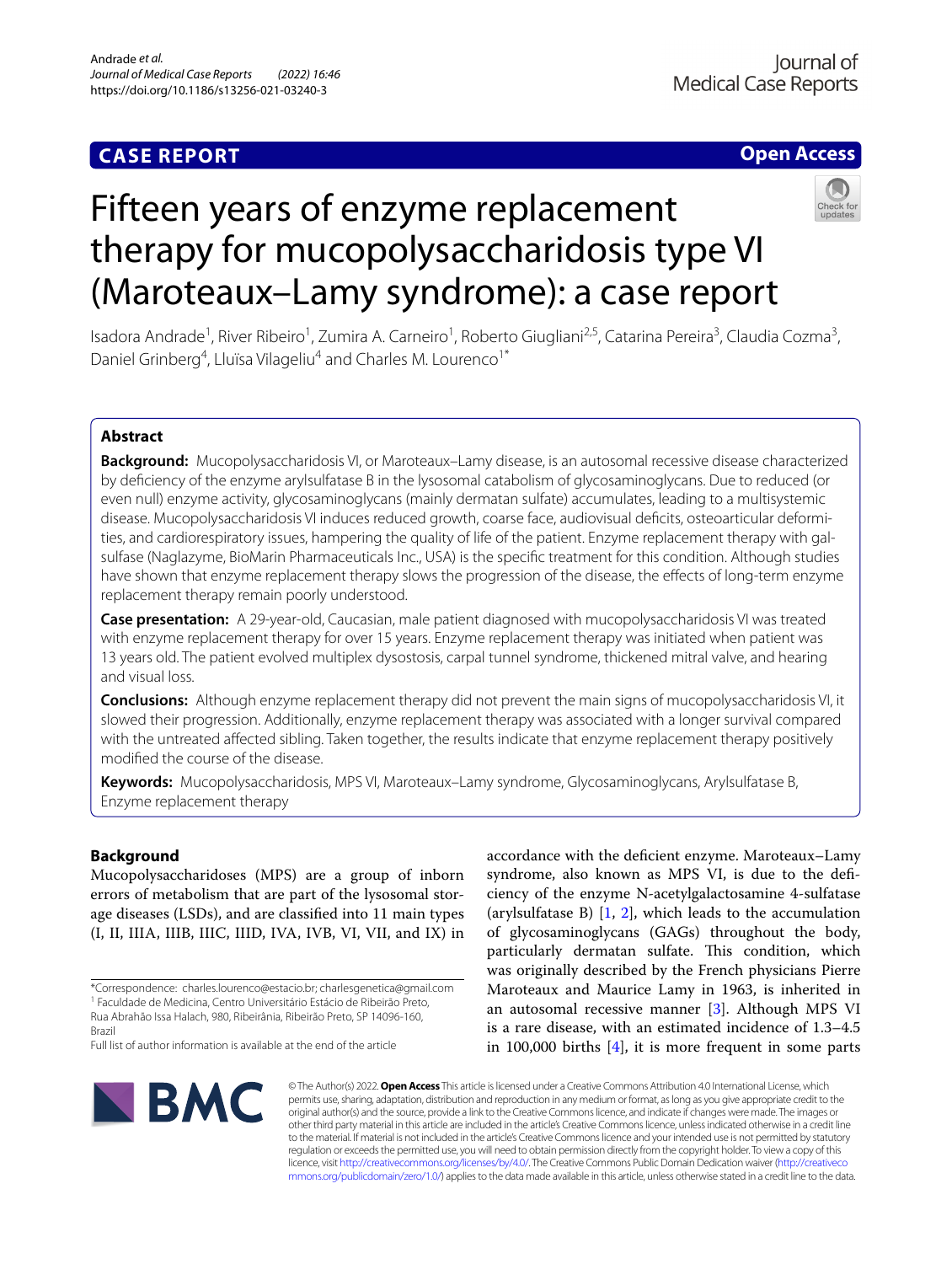# **CASE REPORT**

# **Open Access**



# Fifteen years of enzyme replacement therapy for mucopolysaccharidosis type VI (Maroteaux–Lamy syndrome): a case report

Isadora Andrade<sup>1</sup>, River Ribeiro<sup>1</sup>, Zumira A. Carneiro<sup>1</sup>, Roberto Giugliani<sup>2,5</sup>, Catarina Pereira<sup>3</sup>, Claudia Cozma<sup>3</sup>, Daniel Grinberg<sup>4</sup>, Lluïsa Vilageliu<sup>4</sup> and Charles M. Lourenco<sup>1\*</sup>

# **Abstract**

**Background:** Mucopolysaccharidosis VI, or Maroteaux–Lamy disease, is an autosomal recessive disease characterized by defciency of the enzyme arylsulfatase B in the lysosomal catabolism of glycosaminoglycans. Due to reduced (or even null) enzyme activity, glycosaminoglycans (mainly dermatan sulfate) accumulates, leading to a multisystemic disease. Mucopolysaccharidosis VI induces reduced growth, coarse face, audiovisual deficits, osteoarticular deformities, and cardiorespiratory issues, hampering the quality of life of the patient. Enzyme replacement therapy with galsulfase (Naglazyme, BioMarin Pharmaceuticals Inc., USA) is the specifc treatment for this condition. Although studies have shown that enzyme replacement therapy slows the progression of the disease, the efects of long-term enzyme replacement therapy remain poorly understood.

**Case presentation:** A 29-year-old, Caucasian, male patient diagnosed with mucopolysaccharidosis VI was treated with enzyme replacement therapy for over 15 years. Enzyme replacement therapy was initiated when patient was 13 years old. The patient evolved multiplex dysostosis, carpal tunnel syndrome, thickened mitral valve, and hearing and visual loss.

**Conclusions:** Although enzyme replacement therapy did not prevent the main signs of mucopolysaccharidosis VI, it slowed their progression. Additionally, enzyme replacement therapy was associated with a longer survival compared with the untreated afected sibling. Taken together, the results indicate that enzyme replacement therapy positively modifed the course of the disease.

**Keywords:** Mucopolysaccharidosis, MPS VI, Maroteaux–Lamy syndrome, Glycosaminoglycans, Arylsulfatase B, Enzyme replacement therapy

# **Background**

Mucopolysaccharidoses (MPS) are a group of inborn errors of metabolism that are part of the lysosomal storage diseases (LSDs), and are classifed into 11 main types (I, II, IIIA, IIIB, IIIC, IIID, IVA, IVB, VI, VII, and IX) in accordance with the defcient enzyme. Maroteaux–Lamy syndrome, also known as MPS VI, is due to the defciency of the enzyme N-acetylgalactosamine 4-sulfatase (arylsulfatase B)  $[1, 2]$  $[1, 2]$  $[1, 2]$ , which leads to the accumulation of glycosaminoglycans (GAGs) throughout the body, particularly dermatan sulfate. This condition, which was originally described by the French physicians Pierre Maroteaux and Maurice Lamy in 1963, is inherited in an autosomal recessive manner [\[3](#page-4-1)]. Although MPS VI is a rare disease, with an estimated incidence of 1.3–4.5 in 100,000 births  $[4]$  $[4]$ , it is more frequent in some parts



© The Author(s) 2022. **Open Access** This article is licensed under a Creative Commons Attribution 4.0 International License, which permits use, sharing, adaptation, distribution and reproduction in any medium or format, as long as you give appropriate credit to the original author(s) and the source, provide a link to the Creative Commons licence, and indicate if changes were made. The images or other third party material in this article are included in the article's Creative Commons licence, unless indicated otherwise in a credit line to the material. If material is not included in the article's Creative Commons licence and your intended use is not permitted by statutory regulation or exceeds the permitted use, you will need to obtain permission directly from the copyright holder. To view a copy of this licence, visit [http://creativecommons.org/licenses/by/4.0/.](http://creativecommons.org/licenses/by/4.0/) The Creative Commons Public Domain Dedication waiver ([http://creativeco](http://creativecommons.org/publicdomain/zero/1.0/) [mmons.org/publicdomain/zero/1.0/](http://creativecommons.org/publicdomain/zero/1.0/)) applies to the data made available in this article, unless otherwise stated in a credit line to the data.

<sup>\*</sup>Correspondence: charles.lourenco@estacio.br; charlesgenetica@gmail.com <sup>1</sup> Faculdade de Medicina, Centro Universitário Estácio de Ribeirão Preto, Rua Abrahão Issa Halach, 980, Ribeirânia, Ribeirão Preto, SP 14096-160, Brazil

Full list of author information is available at the end of the article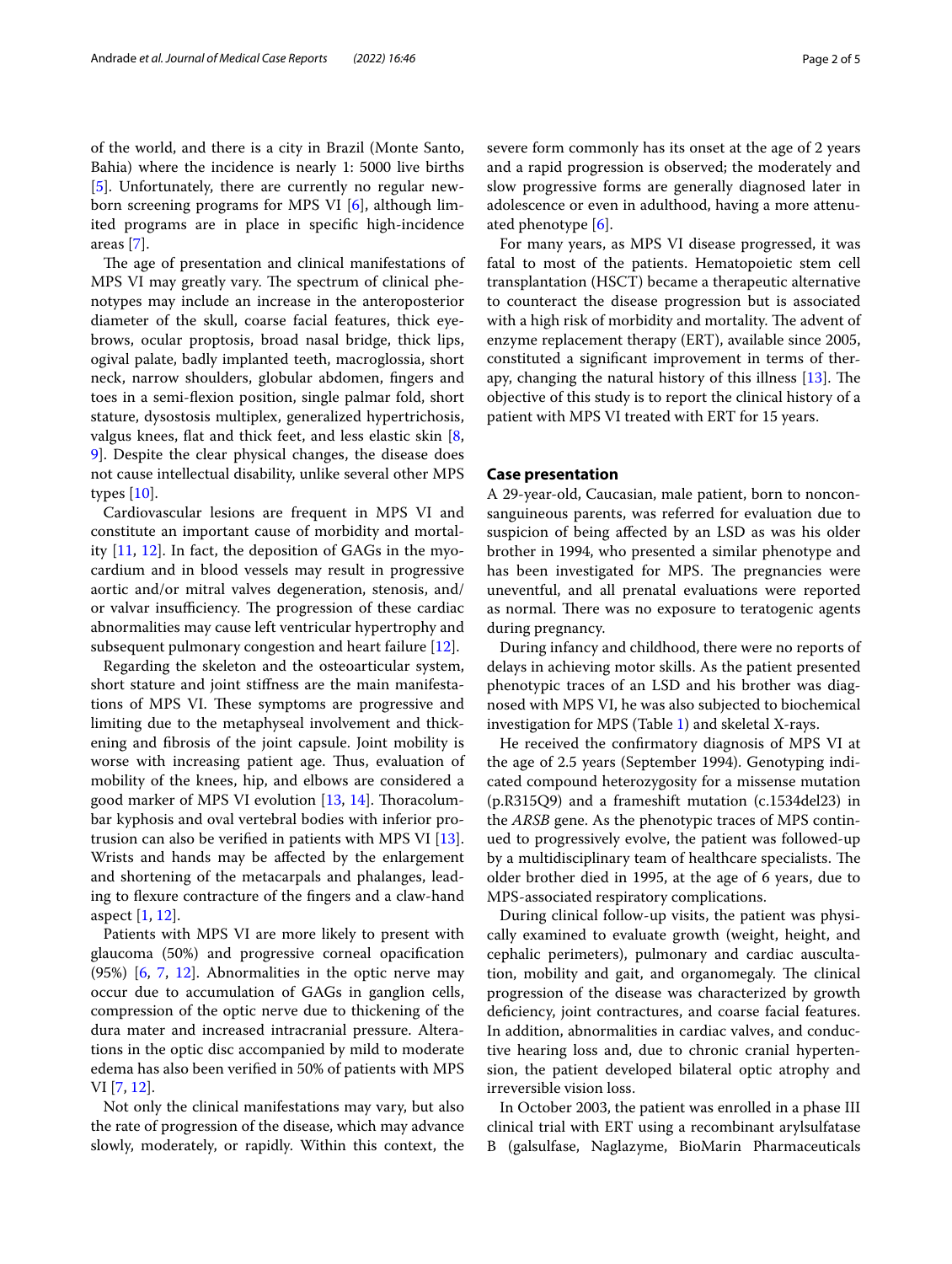of the world, and there is a city in Brazil (Monte Santo, Bahia) where the incidence is nearly 1: 5000 live births [[5\]](#page-4-3). Unfortunately, there are currently no regular newborn screening programs for MPS VI [\[6](#page-4-4)], although limited programs are in place in specifc high-incidence areas [\[7](#page-4-5)].

The age of presentation and clinical manifestations of MPS VI may greatly vary. The spectrum of clinical phenotypes may include an increase in the anteroposterior diameter of the skull, coarse facial features, thick eyebrows, ocular proptosis, broad nasal bridge, thick lips, ogival palate, badly implanted teeth, macroglossia, short neck, narrow shoulders, globular abdomen, fngers and toes in a semi-fexion position, single palmar fold, short stature, dysostosis multiplex, generalized hypertrichosis, valgus knees, flat and thick feet, and less elastic skin [\[8](#page-4-6), [9\]](#page-4-7). Despite the clear physical changes, the disease does not cause intellectual disability, unlike several other MPS types [[10\]](#page-4-8).

Cardiovascular lesions are frequent in MPS VI and constitute an important cause of morbidity and mortality  $[11, 12]$  $[11, 12]$  $[11, 12]$  $[11, 12]$ . In fact, the deposition of GAGs in the myocardium and in blood vessels may result in progressive aortic and/or mitral valves degeneration, stenosis, and/ or valvar insufficiency. The progression of these cardiac abnormalities may cause left ventricular hypertrophy and subsequent pulmonary congestion and heart failure [\[12](#page-4-10)].

Regarding the skeleton and the osteoarticular system, short stature and joint stifness are the main manifestations of MPS VI. These symptoms are progressive and limiting due to the metaphyseal involvement and thickening and fbrosis of the joint capsule. Joint mobility is worse with increasing patient age. Thus, evaluation of mobility of the knees, hip, and elbows are considered a good marker of MPS VI evolution  $[13, 14]$  $[13, 14]$  $[13, 14]$  $[13, 14]$ . Thoracolumbar kyphosis and oval vertebral bodies with inferior protrusion can also be verifed in patients with MPS VI [\[13](#page-4-11)]. Wrists and hands may be afected by the enlargement and shortening of the metacarpals and phalanges, leading to flexure contracture of the fingers and a claw-hand aspect [\[1](#page-3-0), [12\]](#page-4-10).

Patients with MPS VI are more likely to present with glaucoma (50%) and progressive corneal opacifcation (95%) [\[6](#page-4-4), [7](#page-4-5), [12\]](#page-4-10). Abnormalities in the optic nerve may occur due to accumulation of GAGs in ganglion cells, compression of the optic nerve due to thickening of the dura mater and increased intracranial pressure. Alterations in the optic disc accompanied by mild to moderate edema has also been verifed in 50% of patients with MPS VI [\[7](#page-4-5), [12\]](#page-4-10).

Not only the clinical manifestations may vary, but also the rate of progression of the disease, which may advance slowly, moderately, or rapidly. Within this context, the severe form commonly has its onset at the age of 2 years and a rapid progression is observed; the moderately and slow progressive forms are generally diagnosed later in adolescence or even in adulthood, having a more attenuated phenotype [\[6](#page-4-4)].

For many years, as MPS VI disease progressed, it was fatal to most of the patients. Hematopoietic stem cell transplantation (HSCT) became a therapeutic alternative to counteract the disease progression but is associated with a high risk of morbidity and mortality. The advent of enzyme replacement therapy (ERT), available since 2005, constituted a signifcant improvement in terms of therapy, changing the natural history of this illness  $[13]$  $[13]$ . The objective of this study is to report the clinical history of a patient with MPS VI treated with ERT for 15 years.

# **Case presentation**

A 29-year-old, Caucasian, male patient, born to nonconsanguineous parents, was referred for evaluation due to suspicion of being afected by an LSD as was his older brother in 1994, who presented a similar phenotype and has been investigated for MPS. The pregnancies were uneventful, and all prenatal evaluations were reported as normal. There was no exposure to teratogenic agents during pregnancy.

During infancy and childhood, there were no reports of delays in achieving motor skills. As the patient presented phenotypic traces of an LSD and his brother was diagnosed with MPS VI, he was also subjected to biochemical investigation for MPS (Table [1](#page-2-0)) and skeletal X-rays.

He received the confrmatory diagnosis of MPS VI at the age of 2.5 years (September 1994). Genotyping indicated compound heterozygosity for a missense mutation (p.R315Q9) and a frameshift mutation (c.1534del23) in the *ARSB* gene. As the phenotypic traces of MPS continued to progressively evolve, the patient was followed-up by a multidisciplinary team of healthcare specialists. The older brother died in 1995, at the age of 6 years, due to MPS-associated respiratory complications.

During clinical follow-up visits, the patient was physically examined to evaluate growth (weight, height, and cephalic perimeters), pulmonary and cardiac auscultation, mobility and gait, and organomegaly. The clinical progression of the disease was characterized by growth deficiency, joint contractures, and coarse facial features. In addition, abnormalities in cardiac valves, and conductive hearing loss and, due to chronic cranial hypertension, the patient developed bilateral optic atrophy and irreversible vision loss.

In October 2003, the patient was enrolled in a phase III clinical trial with ERT using a recombinant arylsulfatase B (galsulfase, Naglazyme, BioMarin Pharmaceuticals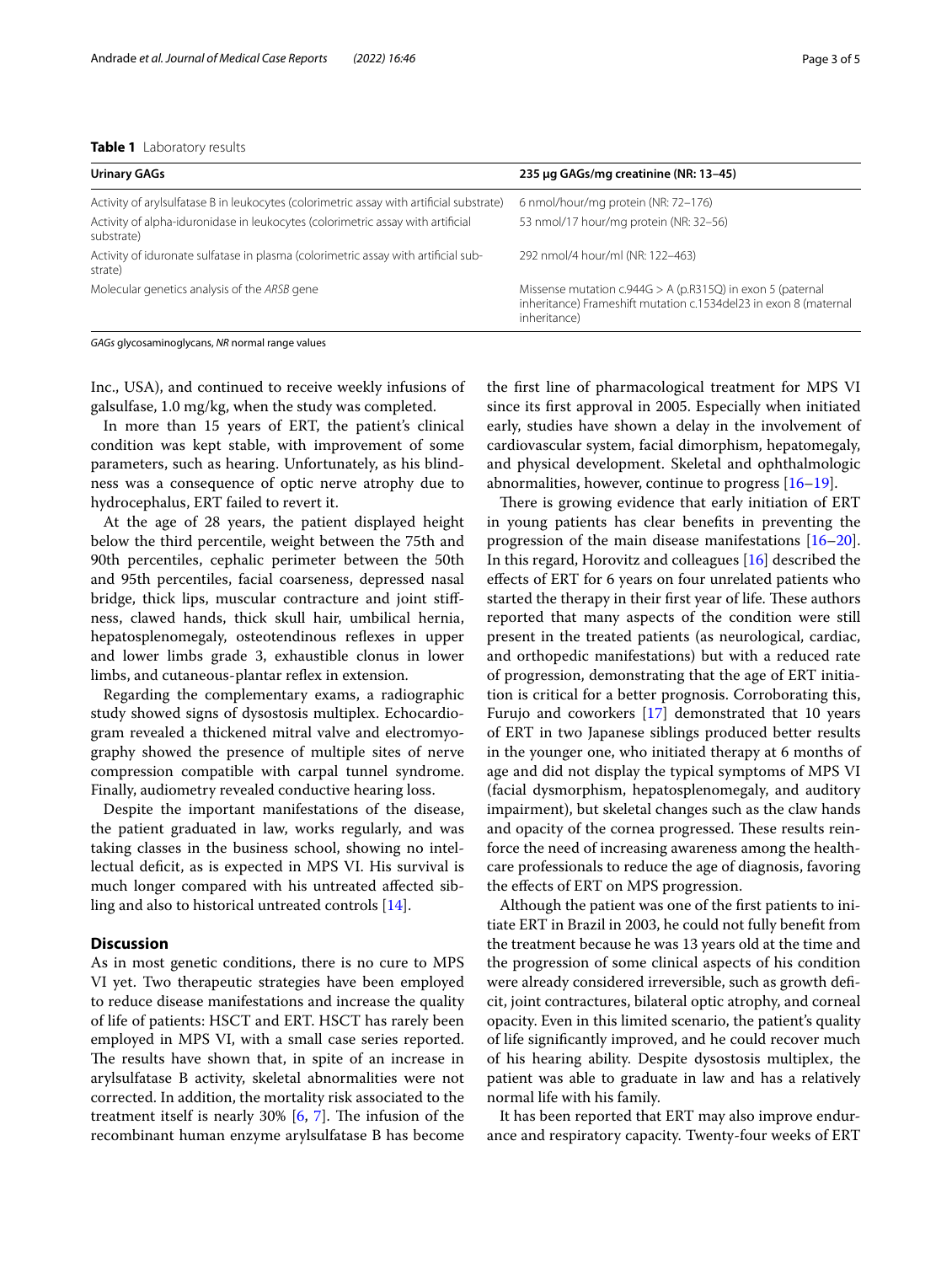# <span id="page-2-0"></span>**Table 1** Laboratory results

| <b>Urinary GAGs</b>                                                                           | 235 µg GAGs/mg creatinine (NR: 13-45)                                                                                                            |
|-----------------------------------------------------------------------------------------------|--------------------------------------------------------------------------------------------------------------------------------------------------|
| Activity of arylsulfatase B in leukocytes (colorimetric assay with artificial substrate)      | 6 nmol/hour/mg protein (NR: 72-176)                                                                                                              |
| Activity of alpha-iduronidase in leukocytes (colorimetric assay with artificial<br>substrate) | 53 nmol/17 hour/mg protein (NR: 32-56)                                                                                                           |
| Activity of iduronate sulfatase in plasma (colorimetric assay with artificial sub-<br>strate) | 292 nmol/4 hour/ml (NR: 122-463)                                                                                                                 |
| Molecular genetics analysis of the ARSB gene                                                  | Missense mutation $c.944G > A$ (p.R315Q) in exon 5 (paternal<br>inheritance) Frameshift mutation c.1534del23 in exon 8 (maternal<br>inheritance) |

*GAGs* glycosaminoglycans, *NR* normal range values

Inc., USA), and continued to receive weekly infusions of galsulfase, 1.0 mg/kg, when the study was completed.

In more than 15 years of ERT, the patient's clinical condition was kept stable, with improvement of some parameters, such as hearing. Unfortunately, as his blindness was a consequence of optic nerve atrophy due to hydrocephalus, ERT failed to revert it.

At the age of 28 years, the patient displayed height below the third percentile, weight between the 75th and 90th percentiles, cephalic perimeter between the 50th and 95th percentiles, facial coarseness, depressed nasal bridge, thick lips, muscular contracture and joint stifness, clawed hands, thick skull hair, umbilical hernia, hepatosplenomegaly, osteotendinous reflexes in upper and lower limbs grade 3, exhaustible clonus in lower limbs, and cutaneous-plantar reflex in extension.

Regarding the complementary exams, a radiographic study showed signs of dysostosis multiplex. Echocardiogram revealed a thickened mitral valve and electromyography showed the presence of multiple sites of nerve compression compatible with carpal tunnel syndrome. Finally, audiometry revealed conductive hearing loss.

Despite the important manifestations of the disease, the patient graduated in law, works regularly, and was taking classes in the business school, showing no intellectual deficit, as is expected in MPS VI. His survival is much longer compared with his untreated afected sibling and also to historical untreated controls [\[14](#page-4-12)].

# **Discussion**

As in most genetic conditions, there is no cure to MPS VI yet. Two therapeutic strategies have been employed to reduce disease manifestations and increase the quality of life of patients: HSCT and ERT. HSCT has rarely been employed in MPS VI, with a small case series reported. The results have shown that, in spite of an increase in arylsulfatase B activity, skeletal abnormalities were not corrected. In addition, the mortality risk associated to the treatment itself is nearly  $30\%$  [[6,](#page-4-4) [7](#page-4-5)]. The infusion of the recombinant human enzyme arylsulfatase B has become

the frst line of pharmacological treatment for MPS VI since its frst approval in 2005. Especially when initiated early, studies have shown a delay in the involvement of cardiovascular system, facial dimorphism, hepatomegaly, and physical development. Skeletal and ophthalmologic abnormalities, however, continue to progress  $[16-19]$  $[16-19]$ .

There is growing evidence that early initiation of ERT in young patients has clear benefts in preventing the progression of the main disease manifestations [[16](#page-4-13)[–20](#page-4-15)]. In this regard, Horovitz and colleagues [\[16\]](#page-4-13) described the efects of ERT for 6 years on four unrelated patients who started the therapy in their first year of life. These authors reported that many aspects of the condition were still present in the treated patients (as neurological, cardiac, and orthopedic manifestations) but with a reduced rate of progression, demonstrating that the age of ERT initiation is critical for a better prognosis. Corroborating this, Furujo and coworkers [[17\]](#page-4-16) demonstrated that 10 years of ERT in two Japanese siblings produced better results in the younger one, who initiated therapy at 6 months of age and did not display the typical symptoms of MPS VI (facial dysmorphism, hepatosplenomegaly, and auditory impairment), but skeletal changes such as the claw hands and opacity of the cornea progressed. These results reinforce the need of increasing awareness among the healthcare professionals to reduce the age of diagnosis, favoring the efects of ERT on MPS progression.

Although the patient was one of the frst patients to initiate ERT in Brazil in 2003, he could not fully beneft from the treatment because he was 13 years old at the time and the progression of some clinical aspects of his condition were already considered irreversible, such as growth defcit, joint contractures, bilateral optic atrophy, and corneal opacity. Even in this limited scenario, the patient's quality of life signifcantly improved, and he could recover much of his hearing ability. Despite dysostosis multiplex, the patient was able to graduate in law and has a relatively normal life with his family.

It has been reported that ERT may also improve endurance and respiratory capacity. Twenty-four weeks of ERT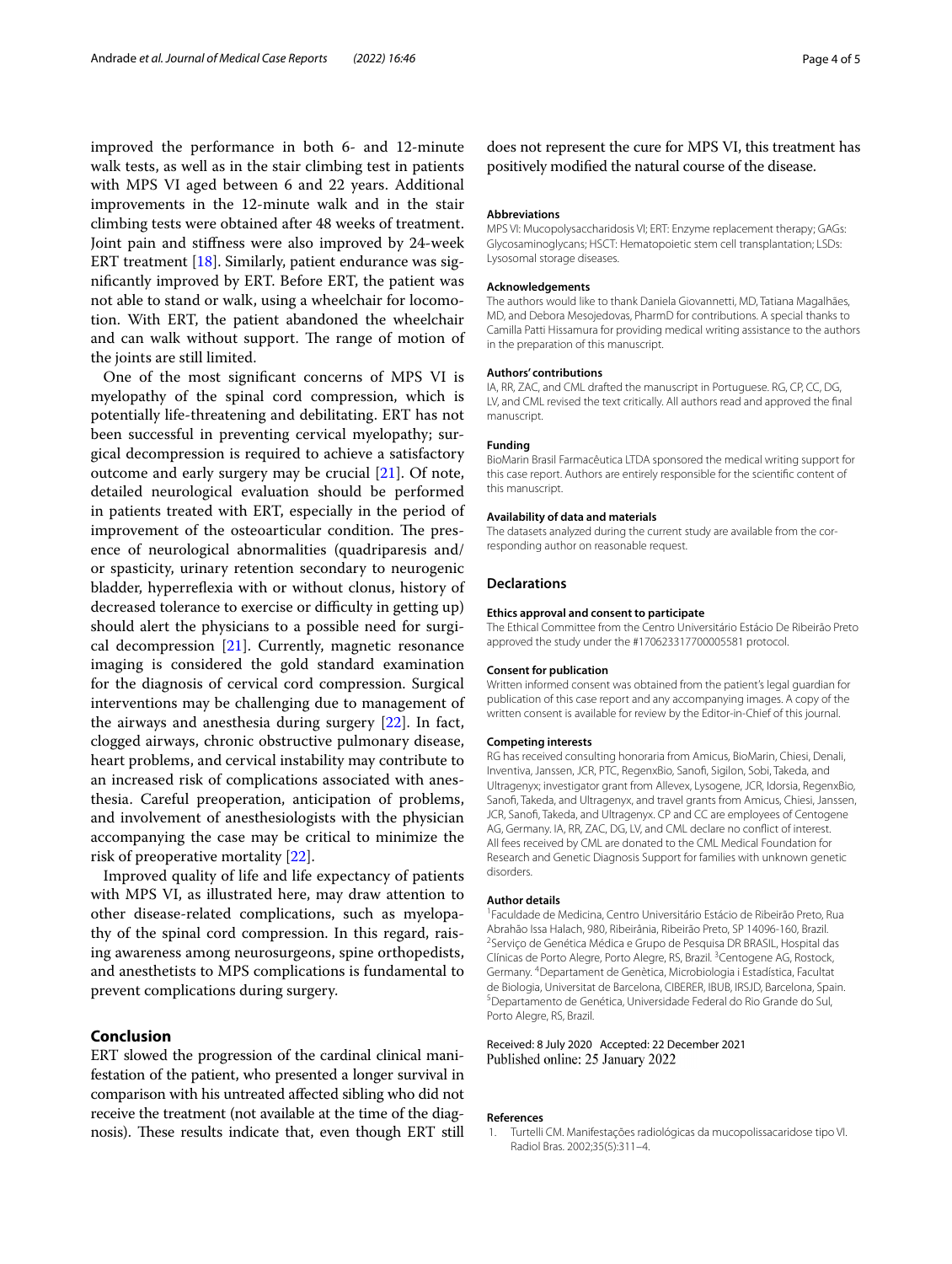improved the performance in both 6- and 12-minute walk tests, as well as in the stair climbing test in patients with MPS VI aged between 6 and 22 years. Additional improvements in the 12-minute walk and in the stair climbing tests were obtained after 48 weeks of treatment. Joint pain and stifness were also improved by 24-week ERT treatment [\[18](#page-4-17)]. Similarly, patient endurance was signifcantly improved by ERT. Before ERT, the patient was not able to stand or walk, using a wheelchair for locomotion. With ERT, the patient abandoned the wheelchair and can walk without support. The range of motion of the joints are still limited.

One of the most signifcant concerns of MPS VI is myelopathy of the spinal cord compression, which is potentially life-threatening and debilitating. ERT has not been successful in preventing cervical myelopathy; surgical decompression is required to achieve a satisfactory outcome and early surgery may be crucial [[21\]](#page-4-18). Of note, detailed neurological evaluation should be performed in patients treated with ERT, especially in the period of improvement of the osteoarticular condition. The presence of neurological abnormalities (quadriparesis and/ or spasticity, urinary retention secondary to neurogenic bladder, hyperreflexia with or without clonus, history of decreased tolerance to exercise or difficulty in getting up) should alert the physicians to a possible need for surgical decompression [[21\]](#page-4-18). Currently, magnetic resonance imaging is considered the gold standard examination for the diagnosis of cervical cord compression. Surgical interventions may be challenging due to management of the airways and anesthesia during surgery [\[22](#page-4-19)]. In fact, clogged airways, chronic obstructive pulmonary disease, heart problems, and cervical instability may contribute to an increased risk of complications associated with anesthesia. Careful preoperation, anticipation of problems, and involvement of anesthesiologists with the physician accompanying the case may be critical to minimize the risk of preoperative mortality [[22\]](#page-4-19).

Improved quality of life and life expectancy of patients with MPS VI, as illustrated here, may draw attention to other disease-related complications, such as myelopathy of the spinal cord compression. In this regard, raising awareness among neurosurgeons, spine orthopedists, and anesthetists to MPS complications is fundamental to prevent complications during surgery.

# **Conclusion**

ERT slowed the progression of the cardinal clinical manifestation of the patient, who presented a longer survival in comparison with his untreated afected sibling who did not receive the treatment (not available at the time of the diagnosis). These results indicate that, even though ERT still

does not represent the cure for MPS VI, this treatment has positively modifed the natural course of the disease.

# **Abbreviations**

MPS VI: Mucopolysaccharidosis VI; ERT: Enzyme replacement therapy; GAGs: Glycosaminoglycans; HSCT: Hematopoietic stem cell transplantation; LSDs: Lysosomal storage diseases.

# **Acknowledgements**

The authors would like to thank Daniela Giovannetti, MD, Tatiana Magalhães, MD, and Debora Mesojedovas, PharmD for contributions. A special thanks to Camilla Patti Hissamura for providing medical writing assistance to the authors in the preparation of this manuscript.

#### **Authors' contributions**

IA, RR, ZAC, and CML drafted the manuscript in Portuguese. RG, CP, CC, DG, LV, and CML revised the text critically. All authors read and approved the fnal manuscript.

#### **Funding**

BioMarin Brasil Farmacêutica LTDA sponsored the medical writing support for this case report. Authors are entirely responsible for the scientifc content of this manuscript.

#### **Availability of data and materials**

The datasets analyzed during the current study are available from the corresponding author on reasonable request.

#### **Declarations**

#### **Ethics approval and consent to participate**

The Ethical Committee from the Centro Universitário Estácio De Ribeirão Preto approved the study under the #170623317700005581 protocol.

#### **Consent for publication**

Written informed consent was obtained from the patient's legal guardian for publication of this case report and any accompanying images. A copy of the written consent is available for review by the Editor-in-Chief of this journal.

#### **Competing interests**

RG has received consulting honoraria from Amicus, BioMarin, Chiesi, Denali, Inventiva, Janssen, JCR, PTC, RegenxBio, Sanof, Sigilon, Sobi, Takeda, and Ultragenyx; investigator grant from Allevex, Lysogene, JCR, Idorsia, RegenxBio, Sanof, Takeda, and Ultragenyx, and travel grants from Amicus, Chiesi, Janssen, JCR, Sanof, Takeda, and Ultragenyx. CP and CC are employees of Centogene AG, Germany. IA, RR, ZAC, DG, LV, and CML declare no confict of interest. All fees received by CML are donated to the CML Medical Foundation for Research and Genetic Diagnosis Support for families with unknown genetic disorders.

## **Author details**

1 Faculdade de Medicina, Centro Universitário Estácio de Ribeirão Preto, Rua Abrahão Issa Halach, 980, Ribeirânia, Ribeirão Preto, SP 14096-160, Brazil. 2 <sup>2</sup> Serviço de Genética Médica e Grupo de Pesquisa DR BRASIL, Hospital das Clínicas de Porto Alegre, Porto Alegre, RS, Brazil.<sup>3</sup> Centogene AG, Rostock, Germany. 4 Departament de Genètica, Microbiologia i Estadística, Facultat de Biologia, Universitat de Barcelona, CIBERER, IBUB, IRSJD, Barcelona, Spain. 5 Departamento de Genética, Universidade Federal do Rio Grande do Sul, Porto Alegre, RS, Brazil.

# Received: 8 July 2020 Accepted: 22 December 2021 Published online: 25 January 2022

#### **References**

<span id="page-3-0"></span>1. Turtelli CM. Manifestações radiológicas da mucopolissacaridose tipo VI. Radiol Bras. 2002;35(5):311–4.